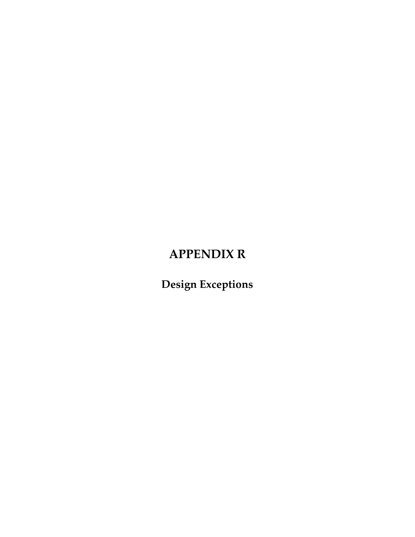# **APPENDIX R**

**Design Exceptions**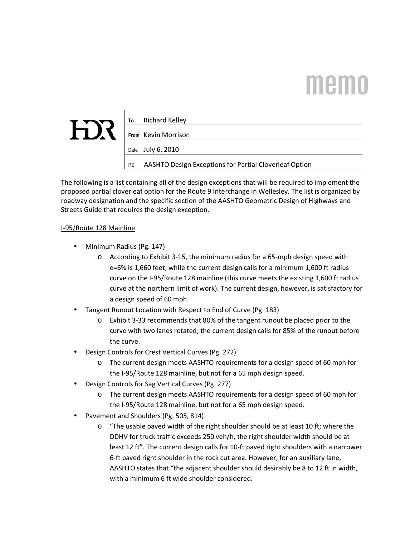# **Memo**

| $\boldsymbol{J}$<br>۱ |  |
|-----------------------|--|

| To | Richard Kelley                                         |
|----|--------------------------------------------------------|
|    | From Kevin Morrison                                    |
|    | Date July 6, 2010                                      |
| RE | AASHTO Design Exceptions for Partial Cloverleaf Option |
|    |                                                        |

The following is a list containing all of the design exceptions that will be required to implement the proposed partial cloverleaf option for the Route 9 Interchange in Wellesley. The list is organized by roadway designation and the specific section of the AASHTO Geometric Design of Highways and Streets Guide that requires the design exception.

#### I-95/Route 128 Mainline

- Minimum Radius (Pg. 147)
	- o According to Exhibit 3-15, the minimum radius for a 65-mph design speed with e=6% is 1,660 feet, while the current design calls for a minimum 1,600 ft radius curve on the I-95/Route 128 mainline (this curve meets the existing 1,600 ft radius curve at the northern limit of work). The current design, however, is satisfactory for a design speed of 60 mph.
- Tangent Runout Location with Respect to End of Curve (Pg. 183)
	- o Exhibit 3-33 recommends that 80% of the tangent runout be placed prior to the curve with two lanes rotated; the current design calls for 85% of the runout before the curve.
- Design Controls for Crest Vertical Curves (Pg. 272)
	- o The current design meets AASHTO requirements for a design speed of 60 mph for the I-95/Route 128 mainline, but not for a 65 mph design speed.
- Design Controls for Sag Vertical Curves (Pg. 277)
	- o The current design meets AASHTO requirements for a design speed of 60 mph for the I-95/Route 128 mainline, but not for a 65 mph design speed.
- Pavement and Shoulders (Pg. 505, 814)
	- $\circ$  "The usable paved width of the right shoulder should be at least 10 ft; where the DDHV for truck traffic exceeds 250 veh/h, the right shoulder width should be at least 12 ft". The current design calls for 10-ft paved right shoulders with a narrower 6-ft paved right shoulder in the rock cut area. However, for an auxiliary lane, AASHTO states that "the adjacent shoulder should desirably be 8 to 12 ft in width, with a minimum 6 ft wide shoulder considered.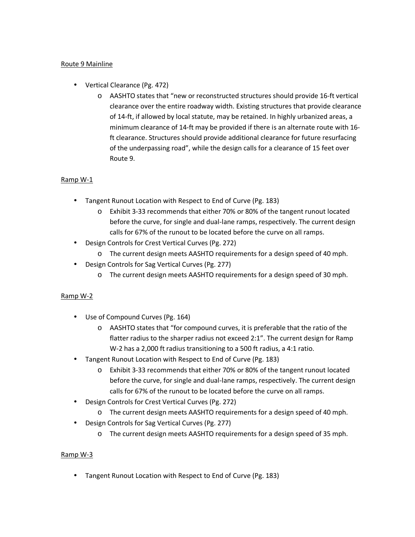#### Route 9 Mainline

- Vertical Clearance (Pg. 472)
	- o AASHTO states that "new or reconstructed structures should provide 16-ft vertical clearance over the entire roadway width. Existing structures that provide clearance of 14-ft, if allowed by local statute, may be retained. In highly urbanized areas, a minimum clearance of 14-ft may be provided if there is an alternate route with 16 ft clearance. Structures should provide additional clearance for future resurfacing of the underpassing road", while the design calls for a clearance of 15 feet over Route 9.

#### Ramp W-1

- Tangent Runout Location with Respect to End of Curve (Pg. 183)
	- o Exhibit 3-33 recommends that either 70% or 80% of the tangent runout located before the curve, for single and dual-lane ramps, respectively. The current design calls for 67% of the runout to be located before the curve on all ramps.
- Design Controls for Crest Vertical Curves (Pg. 272)
	- o The current design meets AASHTO requirements for a design speed of 40 mph.
- Design Controls for Sag Vertical Curves (Pg. 277)
	- o The current design meets AASHTO requirements for a design speed of 30 mph.

#### Ramp W-2

- Use of Compound Curves (Pg. 164)
	- o AASHTO states that "for compound curves, it is preferable that the ratio of the flatter radius to the sharper radius not exceed 2:1". The current design for Ramp W-2 has a 2,000 ft radius transitioning to a 500 ft radius, a 4:1 ratio.
- Tangent Runout Location with Respect to End of Curve (Pg. 183)
	- o Exhibit 3-33 recommends that either 70% or 80% of the tangent runout located before the curve, for single and dual-lane ramps, respectively. The current design calls for 67% of the runout to be located before the curve on all ramps.
- Design Controls for Crest Vertical Curves (Pg. 272)
	- o The current design meets AASHTO requirements for a design speed of 40 mph.
- Design Controls for Sag Vertical Curves (Pg. 277)
	- o The current design meets AASHTO requirements for a design speed of 35 mph.

#### Ramp W-3

• Tangent Runout Location with Respect to End of Curve (Pg. 183)